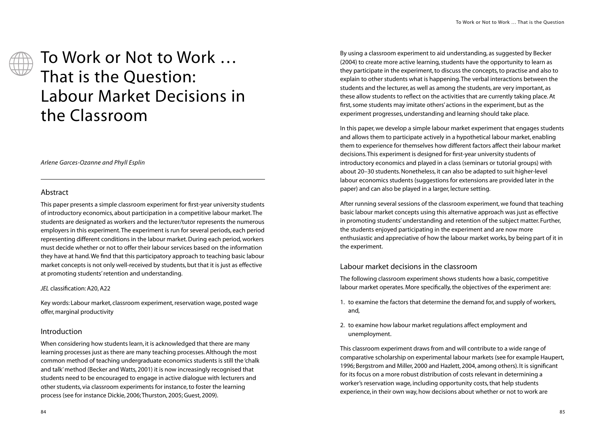

# To Work or Not to Work … That is the Question: Labour Market Decisions in the Classroom

#### *Arlene Garces-Ozanne and Phyll Esplin*

#### Abstract

This paper presents a simple classroom experiment for first-year university students of introductory economics, about participation in a competitive labour market.The students are designated as workers and the lecturer/tutor represents the numerous employers in this experiment.The experiment is run for several periods, each period representing different conditions in the labour market. During each period, workers must decide whether or not to offer their labour services based on the information they have at hand.We find that this participatory approach to teaching basic labour market concepts is not only well-received by students, but that it is just as effective at promoting students' retention and understanding.

#### *JEL* classification: A20, A22

Key words: Labour market, classroom experiment, reservation wage, posted wage offer, marginal productivity

# Introduction

When considering how students learn, it is acknowledged that there are many learning processes just as there are many teaching processes. Although the most common method of teaching undergraduate economics students is still the 'chalk and talk' method (Becker and Watts, 2001) it is now increasingly recognised that students need to be encouraged to engage in active dialogue with lecturers and other students, via classroom experiments for instance, to foster the learning process (see for instance Dickie, 2006; Thurston, 2005; Guest, 2009).

By using a classroom experiment to aid understanding, as suggested by Becker (2004) to create more active learning, students have the opportunity to learn as they participate in the experiment, to discuss the concepts, to practise and also to explain to other students what is happening.The verbal interactions between the students and the lecturer, as well as among the students, are very important, as these allow students to reflect on the activities that are currently taking place. At first, some students may imitate others' actions in the experiment, but as the experiment progresses, understanding and learning should take place.

In this paper, we develop a simple labour market experiment that engages students and allows them to participate actively in a hypothetical labour market, enabling them to experience for themselves how different factors affect their labour market decisions.This experiment is designed for first-year university students of introductory economics and played in a class (seminars or tutorial groups) with about 20–30 students. Nonetheless, it can also be adapted to suit higher-level labour economics students (suggestions for extensions are provided later in the paper) and can also be played in a larger, lecture setting.

After running several sessions of the classroom experiment, we found that teaching basic labour market concepts using this alternative approach was just as effective in promoting students' understanding and retention of the subject matter. Further, the students enjoyed participating in the experiment and are now more enthusiastic and appreciative of how the labour market works, by being part of it in the experiment.

# Labour market decisions in the classroom

The following classroom experiment shows students how a basic, competitive labour market operates. More specifically, the objectives of the experiment are:

- 1. to examine the factors that determine the demand for, and supply of workers, and,
- 2. to examine how labour market regulations affect employment and unemployment.

This classroom experiment draws from and will contribute to a wide range of comparative scholarship on experimental labour markets (see for example Haupert, 1996; Bergstrom and Miller, 2000 and Hazlett, 2004, among others). It is significant for its focus on a more robust distribution of costs relevant in determining a worker's reservation wage, including opportunity costs, that help students experience, in their own way, how decisions about whether or not to work are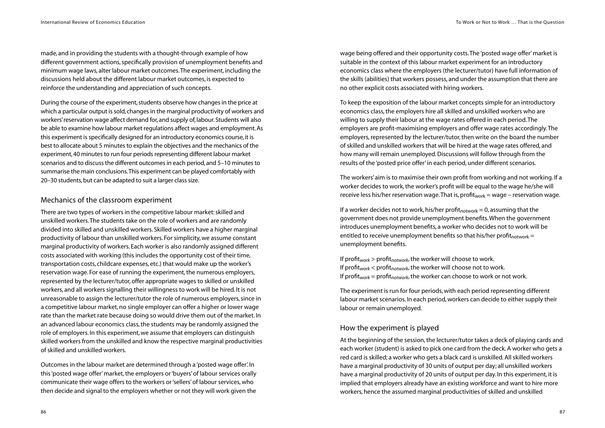made, and in providing the students with a thought-through example of how different government actions, specifically provision of unemployment benefits and minimum wage laws, alter labour market outcomes.The experiment, including the discussions held about the different labour market outcomes, is expected to reinforce the understanding and appreciation of such concepts.

During the course of the experiment, students observe how changes in the price at which a particular output is sold, changes in the marginal productivity of workers and workers'reservation wage affect demand for, and supply of, labour. Students will also be able to examine how labour market regulations affect wages and employment. As this experiment is specifically designed for an introductory economics course, it is best to allocate about 5 minutes to explain the objectives and the mechanics of the experiment, 40 minutes to run four periods representing different labour market scenarios and to discuss the different outcomes in each period, and 5–10 minutes to summarise the main conclusions.This experiment can be played comfortably with 20–30 students, but can be adapted to suit a larger class size.

# Mechanics of the classroom experiment

There are two types of workers in the competitive labour market: skilled and unskilled workers.The students take on the role of workers and are randomly divided into skilled and unskilled workers. Skilled workers have a higher marginal productivity of labour than unskilled workers. For simplicity, we assume constant marginal productivity of workers. Each worker is also randomly assigned different costs associated with working (this includes the opportunity cost of their time, transportation costs, childcare expenses, etc.) that would make up the worker's reservation wage. For ease of running the experiment, the numerous employers, represented by the lecturer/tutor, offer appropriate wages to skilled or unskilled workers, and all workers signalling their willingness to work will be hired. It is not unreasonable to assign the lecturer/tutor the role of numerous employers, since in a competitive labour market, no single employer can offer a higher or lower wage rate than the market rate because doing so would drive them out of the market. In an advanced labour economics class, the students may be randomly assigned the role of employers. In this experiment, we assume that employers can distinguish skilled workers from the unskilled and know the respective marginal productivities of skilled and unskilled workers.

Outcomes in the labour market are determined through a 'posted wage offer'. In this 'posted wage offer' market, the employers or 'buyers' of labour services orally communicate their wage offers to the workers or 'sellers' of labour services, who then decide and signal to the employers whether or not they will work given the

wage being offered and their opportunity costs.The 'posted wage offer' market is suitable in the context of this labour market experiment for an introductory economics class where the employers (the lecturer/tutor) have full information of the skills (abilities) that workers possess, and under the assumption that there are no other explicit costs associated with hiring workers.

To keep the exposition of the labour market concepts simple for an introductory economics class, the employers hire all skilled and unskilled workers who are willing to supply their labour at the wage rates offered in each period.The employers are profit-maximising employers and offer wage rates accordingly.The employers, represented by the lecturer/tutor, then write on the board the number of skilled and unskilled workers that will be hired at the wage rates offered, and how many will remain unemployed. Discussions will follow through from the results of the 'posted price offer' in each period, under different scenarios.

The workers' aim is to maximise their own profit from working and not working. If a worker decides to work, the worker's profit will be equal to the wage he/she will receive less his/her reservation wage. That is, profit<sub>work</sub> = wage – reservation wage.

If a worker decides not to work, his/her profit<sub>notwork</sub> = 0, assuming that the government does not provide unemployment benefits.When the government introduces unemployment benefits, a worker who decides not to work will be entitled to receive unemployment benefits so that his/her profit  $_{\text{notwork}} =$ unemployment benefits.

If profit*work* > profit*notwork*, the worker will choose to work. If profit*work* < profit*notwork*, the worker will choose not to work. If profit*work* = profit*notwork*, the worker can choose to work or not work.

The experiment is run for four periods, with each period representing different labour market scenarios. In each period, workers can decide to either supply their labour or remain unemployed.

# How the experiment is played

At the beginning of the session, the lecturer/tutor takes a deck of playing cards and each worker (student) is asked to pick one card from the deck. A worker who gets a red card is skilled; a worker who gets a black card is unskilled. All skilled workers have a marginal productivity of 30 units of output per day; all unskilled workers have a marginal productivity of 20 units of output per day. In this experiment, it is implied that employers already have an existing workforce and want to hire more workers, hence the assumed marginal productivities of skilled and unskilled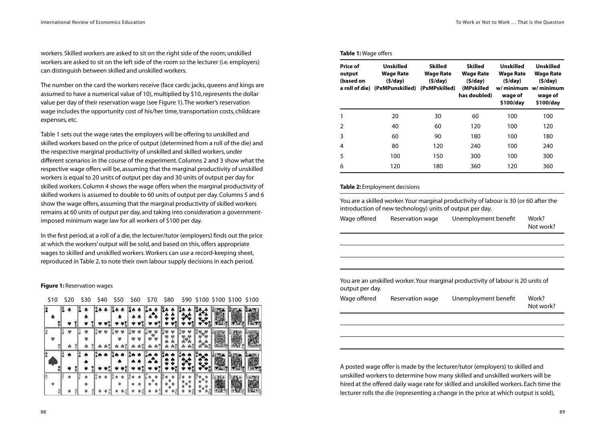workers. Skilled workers are asked to sit on the right side of the room; unskilled workers are asked to sit on the left side of the room so the lecturer (i.e. employers) can distinguish between skilled and unskilled workers.

The number on the card the workers receive (face cards: jacks, queens and kings are assumed to have a numerical value of 10), multiplied by \$10, represents the dollar value per day of their reservation wage (see Figure 1).The worker's reservation wage includes the opportunity cost of his/her time, transportation costs, childcare expenses, etc.

Table 1 sets out the wage rates the employers will be offering to unskilled and skilled workers based on the price of output (determined from a roll of the die) and the respective marginal productivity of unskilled and skilled workers, under different scenarios in the course of the experiment. Columns 2 and 3 show what the respective wage offers will be, assuming that the marginal productivity of unskilled workers is equal to 20 units of output per day and 30 units of output per day for skilled workers. Column 4 shows the wage offers when the marginal productivity of skilled workers is assumed to double to 60 units of output per day. Columns 5 and 6 show the wage offers, assuming that the marginal productivity of skilled workers remains at 60 units of output per day, and taking into consideration a governmentimposed minimum wage law for all workers of \$100 per day.

In the first period, at a roll of a die, the lecturer/tutor (employers) finds out the price at which the workers' output will be sold, and based on this, offers appropriate wages to skilled and unskilled workers.Workers can use a record-keeping sheet, reproduced in Table 2, to note their own labour supply decisions in each period.

#### **Figure 1:** Reservation wages

| \$10 |  | \$20 |  | \$30 |  | \$40 | \$50 | \$60 |  | \$70 |  | \$80 |  |  | \$90 \$100 \$100 \$100 \$100 |
|------|--|------|--|------|--|------|------|------|--|------|--|------|--|--|------------------------------|
|      |  |      |  |      |  |      |      |      |  |      |  |      |  |  |                              |
|      |  |      |  |      |  |      |      |      |  |      |  |      |  |  |                              |
|      |  |      |  |      |  |      |      |      |  |      |  |      |  |  |                              |
|      |  |      |  |      |  |      |      |      |  |      |  |      |  |  |                              |

#### **Table 1:** Wage offers

| <b>Price of</b><br>output<br>(based on | <b>Unskilled</b><br><b>Wage Rate</b><br>(5/day)<br>a roll of die) (PxMPunskilled) | <b>Skilled</b><br><b>Wage Rate</b><br>(5/day)<br>(PxMPskilled) | <b>Skilled</b><br><b>Wage Rate</b><br>(5/day)<br>(MPskilled<br>has doubled) | <b>Unskilled</b><br><b>Wage Rate</b><br>(5/day)<br>$w/m$ inimum<br>wage of<br>\$100/day | <b>Unskilled</b><br><b>Wage Rate</b><br>(5/day)<br>w/ minimum<br>wage of<br>\$100/day |
|----------------------------------------|-----------------------------------------------------------------------------------|----------------------------------------------------------------|-----------------------------------------------------------------------------|-----------------------------------------------------------------------------------------|---------------------------------------------------------------------------------------|
| 1                                      | 20                                                                                | 30                                                             | 60                                                                          | 100                                                                                     | 100                                                                                   |
| 2                                      | 40                                                                                | 60                                                             | 120                                                                         | 100                                                                                     | 120                                                                                   |
| 3                                      | 60                                                                                | 90                                                             | 180                                                                         | 100                                                                                     | 180                                                                                   |
| 4                                      | 80                                                                                | 120                                                            | 240                                                                         | 100                                                                                     | 240                                                                                   |
| 5                                      | 100                                                                               | 150                                                            | 300                                                                         | 100                                                                                     | 300                                                                                   |
| 6                                      | 120                                                                               | 180                                                            | 360                                                                         | 120                                                                                     | 360                                                                                   |

#### **Table 2:** Employment decisions

You are a skilled worker.Your marginal productivity of labour is 30 (or 60 after the introduction of new technology) units of output per day.

| Wage offered | Reservation wage | Unemployment benefit | Work?     |
|--------------|------------------|----------------------|-----------|
|              |                  |                      | Not work? |

You are an unskilled worker.Your marginal productivity of labour is 20 units of output per day.

| Wage offered | Reservation wage | Unemployment benefit | Work?     |
|--------------|------------------|----------------------|-----------|
|              |                  |                      | Not work? |

A posted wage offer is made by the lecturer/tutor (employers) to skilled and unskilled workers to determine how many skilled and unskilled workers will be hired at the offered daily wage rate for skilled and unskilled workers. Each time the lecturer rolls the die (representing a change in the price at which output is sold),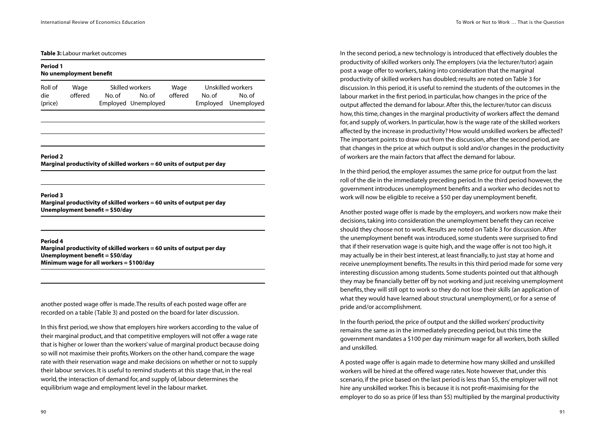**Table 3:** Labour market outcomes

# **Period 1 No unemployment benefit**

| Roll of | Wage    |       | Skilled workers     | Wage    |       | Unskilled workers   |
|---------|---------|-------|---------------------|---------|-------|---------------------|
| die     | offered | No.of | No.of               | offered | No.of | No.of               |
| (price) |         |       | Employed Unemployed |         |       | Employed Unemployed |

#### **Period 2**

**Marginal productivity of skilled workers = 60 units of output per day**

#### **Period 3**

**Marginal productivity of skilled workers = 60 units of output per day Unemployment benefit = \$50/day**

#### **Period 4**

**Marginal productivity of skilled workers = 60 units of output per day Unemployment benefit = \$50/day Minimum wage for all workers = \$100/day**

another posted wage offer is made.The results of each posted wage offer are recorded on a table (Table 3) and posted on the board for later discussion.

In this first period, we show that employers hire workers according to the value of their marginal product, and that competitive employers will not offer a wage rate that is higher or lower than the workers' value of marginal product because doing so will not maximise their profits.Workers on the other hand, compare the wage rate with their reservation wage and make decisions on whether or not to supply their labour services. It is useful to remind students at this stage that, in the real world, the interaction of demand for, and supply of, labour determines the equilibrium wage and employment level in the labour market.

In the second period, a new technology is introduced that effectively doubles the productivity of skilled workers only.The employers (via the lecturer/tutor) again post a wage offer to workers, taking into consideration that the marginal productivity of skilled workers has doubled; results are noted on Table 3 for discussion. In this period, it is useful to remind the students of the outcomes in the labour market in the first period, in particular, how changes in the price of the output affected the demand for labour. After this, the lecturer/tutor can discuss how, this time, changes in the marginal productivity of workers affect the demand for, and supply of, workers. In particular, how is the wage rate of the skilled workers affected by the increase in productivity? How would unskilled workers be affected? The important points to draw out from the discussion, after the second period, are that changes in the price at which output is sold and/or changes in the productivity of workers are the main factors that affect the demand for labour.

In the third period, the employer assumes the same price for output from the last roll of the die in the immediately preceding period. In the third period however, the government introduces unemployment benefits and a worker who decides not to work will now be eligible to receive a \$50 per day unemployment benefit.

Another posted wage offer is made by the employers, and workers now make their decisions, taking into consideration the unemployment benefit they can receive should they choose not to work. Results are noted on Table 3 for discussion. After the unemployment benefit was introduced, some students were surprised to find that if their reservation wage is quite high, and the wage offer is not too high, it may actually be in their best interest, at least financially, to just stay at home and receive unemployment benefits.The results in this third period made for some very interesting discussion among students. Some students pointed out that although they may be financially better off by not working and just receiving unemployment benefits, they will still opt to work so they do not lose their skills (an application of what they would have learned about structural unemployment), or for a sense of pride and/or accomplishment.

In the fourth period, the price of output and the skilled workers' productivity remains the same as in the immediately preceding period, but this time the government mandates a \$100 per day minimum wage for all workers, both skilled and unskilled.

A posted wage offer is again made to determine how many skilled and unskilled workers will be hired at the offered wage rates. Note however that, under this scenario, if the price based on the last period is less than \$5, the employer will not hire any unskilled worker.This is because it is not profit-maximising for the employer to do so as price (if less than \$5) multiplied by the marginal productivity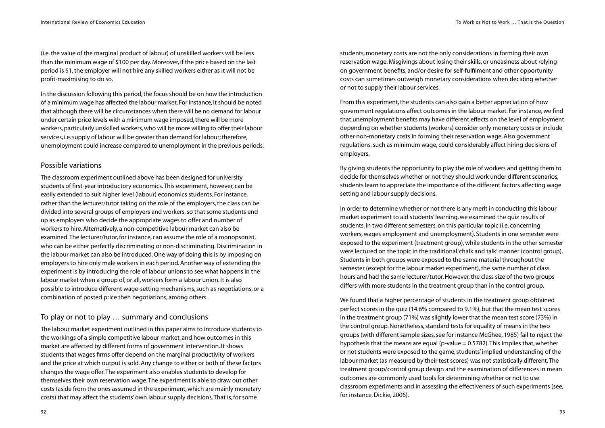(i.e. the value of the marginal product of labour) of unskilled workers will be less than the minimum wage of \$100 per day. Moreover, if the price based on the last period is \$1, the employer will not hire any skilled workers either as it will not be profit-maximising to do so.

In the discussion following this period, the focus should be on how the introduction of a minimum wage has affected the labour market. For instance, it should be noted that although there will be circumstances when there will be no demand for labour under certain price levels with a minimum wage imposed, there will be more workers, particularly unskilled workers, who will be more willing to offer their labour services, i.e. supply of labour will be greater than demand for labour; therefore, unemployment could increase compared to unemployment in the previous periods.

### Possible variations

The classroom experiment outlined above has been designed for university students of first-year introductory economics.This experiment, however, can be easily extended to suit higher level (labour) economics students. For instance, rather than the lecturer/tutor taking on the role of the employers, the class can be divided into several groups of employers and workers, so that some students end up as employers who decide the appropriate wages to offer and number of workers to hire. Alternatively, a non-competitive labour market can also be examined.The lecturer/tutor, for instance, can assume the role of a monopsonist, who can be either perfectly discriminating or non-discriminating. Discrimination in the labour market can also be introduced. One way of doing this is by imposing on employers to hire only male workers in each period. Another way of extending the experiment is by introducing the role of labour unions to see what happens in the labour market when a group of, or all, workers form a labour union. It is also possible to introduce different wage-setting mechanisms, such as negotiations, or a combination of posted price then negotiations, among others.

# To play or not to play … summary and conclusions

The labour market experiment outlined in this paper aims to introduce students to the workings of a simple competitive labour market, and how outcomes in this market are affected by different forms of government intervention. It shows students that wages firms offer depend on the marginal productivity of workers and the price at which output is sold. Any change to either or both of these factors changes the wage offer.The experiment also enables students to develop for themselves their own reservation wage.The experiment is able to draw out other costs (aside from the ones assumed in the experiment, which are mainly monetary costs) that may affect the students' own labour supply decisions.That is, for some

students, monetary costs are not the only considerations in forming their own reservation wage. Misgivings about losing their skills, or uneasiness about relying on government benefits, and/or desire for self-fulfilment and other opportunity costs can sometimes outweigh monetary considerations when deciding whether or not to supply their labour services.

From this experiment, the students can also gain a better appreciation of how government regulations affect outcomes in the labour market. For instance, we find that unemployment benefits may have different effects on the level of employment depending on whether students (workers) consider only monetary costs or include other non-monetary costs in forming their reservation wage. Also government regulations, such as minimum wage, could considerably affect hiring decisions of employers.

By giving students the opportunity to play the role of workers and getting them to decide for themselves whether or not they should work under different scenarios, students learn to appreciate the importance of the different factors affecting wage setting and labour supply decisions.

In order to determine whether or not there is any merit in conducting this labour market experiment to aid students' learning, we examined the quiz results of students, in two different semesters, on this particular topic (i.e. concerning workers, wages employment and unemployment). Students in one semester were exposed to the experiment (treatment group), while students in the other semester were lectured on the topic in the traditional 'chalk and talk' manner (control group). Students in both groups were exposed to the same material throughout the semester (except for the labour market experiment), the same number of class hours and had the same lecturer/tutor. However, the class size of the two groups differs with more students in the treatment group than in the control group.

We found that a higher percentage of students in the treatment group obtained perfect scores in the quiz (14.6% compared to 9.1%), but that the mean test scores in the treatment group (71%) was slightly lower that the mean test score (73%) in the control group. Nonetheless, standard tests for equality of means in the two groups (with different sample sizes, see for instance McGhee, 1985) fail to reject the hypothesis that the means are equal (p-value = 0.5782).This implies that, whether or not students were exposed to the game, students' implied understanding of the labour market (as measured by their test scores) was not statistically different.The treatment group/control group design and the examination of differences in mean outcomes are commonly used tools for determining whether or not to use classroom experiments and in assessing the effectiveness of such experiments (see, for instance, Dickie, 2006).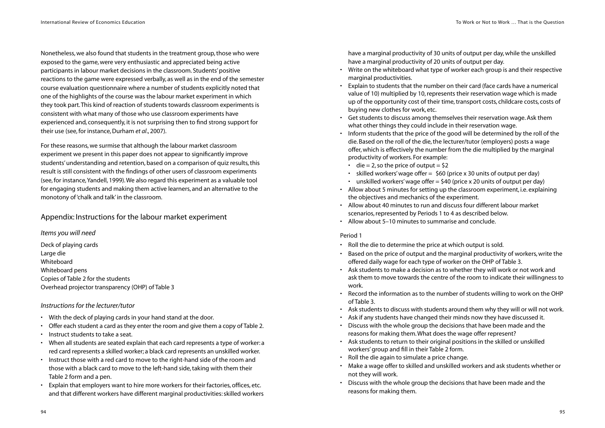Nonetheless, we also found that students in the treatment group, those who were exposed to the game, were very enthusiastic and appreciated being active participants in labour market decisions in the classroom. Students' positive reactions to the game were expressed verbally, as well as in the end of the semester course evaluation questionnaire where a number of students explicitly noted that one of the highlights of the course was the labour market experiment in which they took part.This kind of reaction of students towards classroom experiments is consistent with what many of those who use classroom experiments have experienced and, consequently, it is not surprising then to find strong support for their use (see, for instance, Durham *et al*., 2007).

For these reasons, we surmise that although the labour market classroom experiment we present in this paper does not appear to significantly improve students' understanding and retention, based on a comparison of quiz results, this result is still consistent with the findings of other users of classroom experiments (see, for instance,Yandell, 1999).We also regard this experiment as a valuable tool for engaging students and making them active learners, and an alternative to the monotony of 'chalk and talk' in the classroom.

# Appendix: Instructions for the labour market experiment

#### *Items you will need*

Deck of playing cards Large die Whiteboard Whiteboard pens Copies of Table 2 for the students Overhead projector transparency (OHP) of Table 3

## *Instructions for the lecturer/tutor*

- With the deck of playing cards in your hand stand at the door.
- Offer each student a card as they enter the room and give them a copy of Table 2.
- Instruct students to take a seat.
- When all students are seated explain that each card represents a type of worker: a red card represents a skilled worker; a black card represents an unskilled worker.
- Instruct those with a red card to move to the right-hand side of the room and those with a black card to move to the left-hand side, taking with them their Table 2 form and a pen.
- Explain that employers want to hire more workers for their factories, offices, etc. and that different workers have different marginal productivities: skilled workers

have a marginal productivity of 30 units of output per day, while the unskilled have a marginal productivity of 20 units of output per day.

- Write on the whiteboard what type of worker each group is and their respective marginal productivities.
- Explain to students that the number on their card (face cards have a numerical value of 10) multiplied by 10, represents their reservation wage which is made up of the opportunity cost of their time, transport costs, childcare costs, costs of buying new clothes for work, etc.
- Get students to discuss among themselves their reservation wage. Ask them what other things they could include in their reservation wage.
- Inform students that the price of the good will be determined by the roll of the die. Based on the roll of the die, the lecturer/tutor (employers) posts a wage offer, which is effectively the number from the die multiplied by the marginal productivity of workers. For example:
	- $\cdot$  die = 2, so the price of output = \$2
	- skilled workers' wage offer  $=$  \$60 (price x 30 units of output per day)
	- unskilled workers' wage offer  $=$  \$40 (price x 20 units of output per day)
- Allow about 5 minutes for setting up the classroom experiment, i.e. explaining the objectives and mechanics of the experiment.
- Allow about 40 minutes to run and discuss four different labour market scenarios, represented by Periods 1 to 4 as described below.
- Allow about 5–10 minutes to summarise and conclude.

# Period 1

- Roll the die to determine the price at which output is sold.
- Based on the price of output and the marginal productivity of workers, write the offered daily wage for each type of worker on the OHP of Table 3.
- Ask students to make a decision as to whether they will work or not work and ask them to move towards the centre of the room to indicate their willingness to work.
- Record the information as to the number of students willing to work on the OHP of Table 3.
- Ask students to discuss with students around them why they will or will not work.
- Ask if any students have changed their minds now they have discussed it.
- Discuss with the whole group the decisions that have been made and the reasons for making them.What does the wage offer represent?
- Ask students to return to their original positions in the skilled or unskilled workers' group and fill in their Table 2 form.
- Roll the die again to simulate a price change.
- Make a wage offer to skilled and unskilled workers and ask students whether or not they will work.
- Discuss with the whole group the decisions that have been made and the reasons for making them.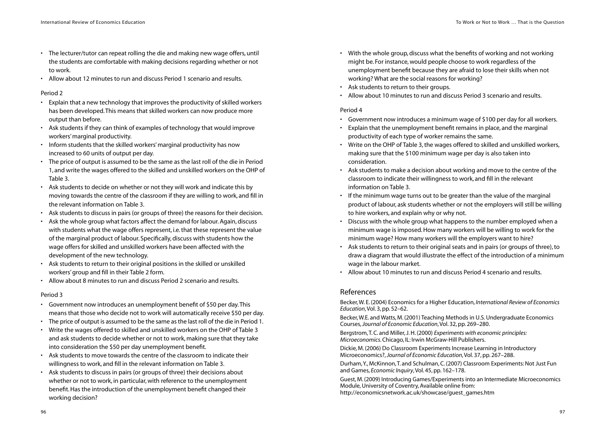- The lecturer/tutor can repeat rolling the die and making new wage offers, until the students are comfortable with making decisions regarding whether or not to work.
- Allow about 12 minutes to run and discuss Period 1 scenario and results.

#### Period 2

- Explain that a new technology that improves the productivity of skilled workers has been developed.This means that skilled workers can now produce more output than before.
- Ask students if they can think of examples of technology that would improve workers' marginal productivity.
- Inform students that the skilled workers' marginal productivity has now increased to 60 units of output per day.
- The price of output is assumed to be the same as the last roll of the die in Period 1, and write the wages offered to the skilled and unskilled workers on the OHP of Table 3.
- Ask students to decide on whether or not they will work and indicate this by moving towards the centre of the classroom if they are willing to work, and fill in the relevant information on Table 3.
- Ask students to discuss in pairs (or groups of three) the reasons for their decision.
- Ask the whole group what factors affect the demand for labour. Again, discuss with students what the wage offers represent, i.e. that these represent the value of the marginal product of labour. Specifically, discuss with students how the wage offers for skilled and unskilled workers have been affected with the development of the new technology.
- Ask students to return to their original positions in the skilled or unskilled workers' group and fill in their Table 2 form.
- Allow about 8 minutes to run and discuss Period 2 scenario and results.

#### Period 3

- Government now introduces an unemployment benefit of \$50 per day.This means that those who decide not to work will automatically receive \$50 per day.
- The price of output is assumed to be the same as the last roll of the die in Period 1.
- Write the wages offered to skilled and unskilled workers on the OHP of Table 3 and ask students to decide whether or not to work, making sure that they take into consideration the \$50 per day unemployment benefit.
- Ask students to move towards the centre of the classroom to indicate their willingness to work, and fill in the relevant information on Table 3.
- Ask students to discuss in pairs (or groups of three) their decisions about whether or not to work, in particular, with reference to the unemployment benefit. Has the introduction of the unemployment benefit changed their working decision?
- With the whole group, discuss what the benefits of working and not working might be. For instance, would people choose to work regardless of the unemployment benefit because they are afraid to lose their skills when not working? What are the social reasons for working?
- Ask students to return to their groups.
- Allow about 10 minutes to run and discuss Period 3 scenario and results.

#### Period 4

- Government now introduces a minimum wage of \$100 per day for all workers.
- Explain that the unemployment benefit remains in place, and the marginal productivity of each type of worker remains the same.
- Write on the OHP of Table 3, the wages offered to skilled and unskilled workers, making sure that the \$100 minimum wage per day is also taken into consideration.
- Ask students to make a decision about working and move to the centre of the classroom to indicate their willingness to work, and fill in the relevant information on Table 3.
- If the minimum wage turns out to be greater than the value of the marginal product of labour, ask students whether or not the employers will still be willing to hire workers, and explain why or why not.
- Discuss with the whole group what happens to the number employed when a minimum wage is imposed. How many workers will be willing to work for the minimum wage? How many workers will the employers want to hire?
- Ask students to return to their original seats and in pairs (or groups of three), to draw a diagram that would illustrate the effect of the introduction of a minimum wage in the labour market.
- Allow about 10 minutes to run and discuss Period 4 scenario and results.

# References

Becker, W. E. (2004) Economics for a Higher Education, *International Review of Economics Education*, Vol. 3, pp. 52–62.

Becker, W.E. and Watts, M. (2001) Teaching Methods in U.S. Undergraduate Economics Courses,*Journal of Economic Education*, Vol. 32, pp. 269–280.

Bergstrom,T. C. and Miller, J. H. (2000) *Experiments with economic principles: Microeconomics*. Chicago, IL: Irwin McGraw-Hill Publishers.

Dickie, M. (2006) Do Classroom Experiments Increase Learning in Introductory Microeconomics?,*Journal of Economic Education*, Vol. 37, pp. 267–288.

Durham,Y., McKinnon,T. and Schulman, C. (2007) Classroom Experiments: Not Just Fun and Games, *Economic Inquiry*, Vol. 45, pp. 162–178.

Guest, M. (2009) Introducing Games/Experiments into an Intermediate Microeconomics Module, University of Coventry, Available online from: http://economicsnetwork.ac.uk/showcase/guest\_games.htm